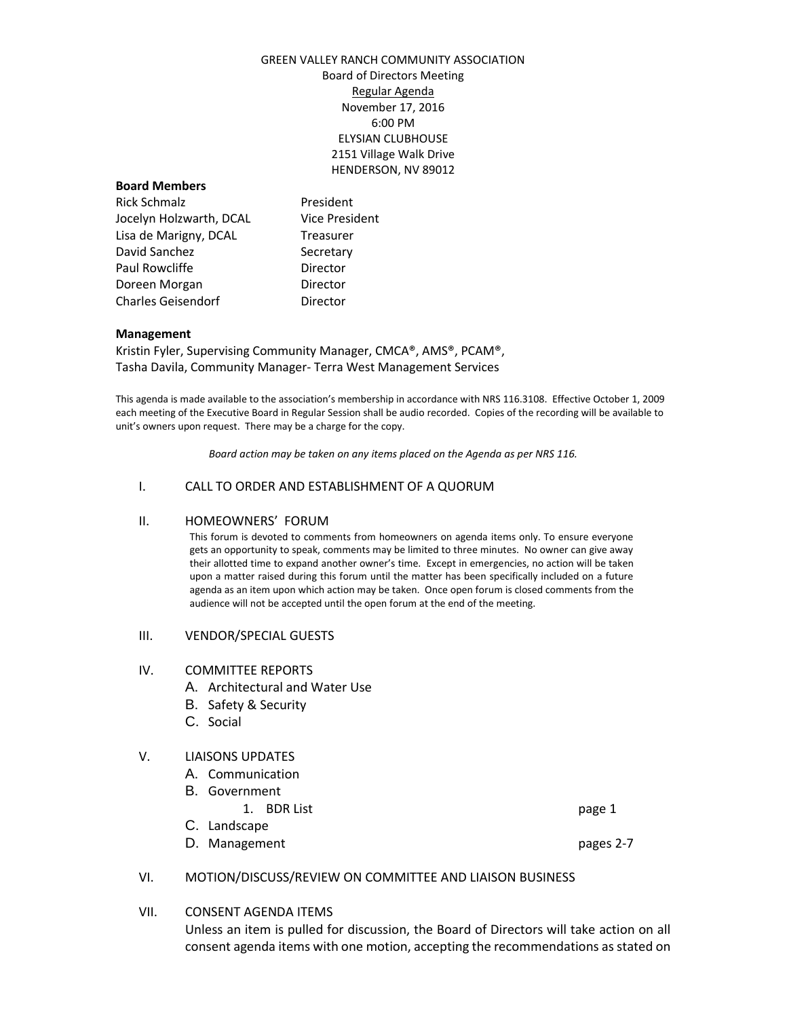### GREEN VALLEY RANCH COMMUNITY ASSOCIATION Board of Directors Meeting Regular Agenda November 17, 2016 6:00 PM ELYSIAN CLUBHOUSE 2151 Village Walk Drive HENDERSON, NV 89012

#### **Board Members**

Rick Schmalz **President** Jocelyn Holzwarth, DCAL Vice President Lisa de Marigny, DCAL Treasurer David Sanchez Secretary Paul Rowcliffe **Director** Doreen Morgan **Director** Charles Geisendorf **Director** 

#### **Management**

Kristin Fyler, Supervising Community Manager, CMCA®, AMS®, PCAM®, Tasha Davila, Community Manager- Terra West Management Services

This agenda is made available to the association's membership in accordance with NRS 116.3108. Effective October 1, 2009 each meeting of the Executive Board in Regular Session shall be audio recorded. Copies of the recording will be available to unit's owners upon request. There may be a charge for the copy.

*Board action may be taken on any items placed on the Agenda as per NRS 116.*

### I. CALL TO ORDER AND ESTABLISHMENT OF A QUORUM

### II. HOMEOWNERS' FORUM

This forum is devoted to comments from homeowners on agenda items only. To ensure everyone gets an opportunity to speak, comments may be limited to three minutes. No owner can give away their allotted time to expand another owner's time. Except in emergencies, no action will be taken upon a matter raised during this forum until the matter has been specifically included on a future agenda as an item upon which action may be taken. Once open forum is closed comments from the audience will not be accepted until the open forum at the end of the meeting.

III. VENDOR/SPECIAL GUESTS

### IV. COMMITTEE REPORTS

- A. Architectural and Water Use
- B. Safety & Security
- C. Social

### V. LIAISONS UPDATES

- A. Communication
- B. Government
	- 1. BDR List page 1
- C. Landscape
- D. Management pages 2-7

### VI. MOTION/DISCUSS/REVIEW ON COMMITTEE AND LIAISON BUSINESS

### VII. CONSENT AGENDA ITEMS

Unless an item is pulled for discussion, the Board of Directors will take action on all consent agenda items with one motion, accepting the recommendations as stated on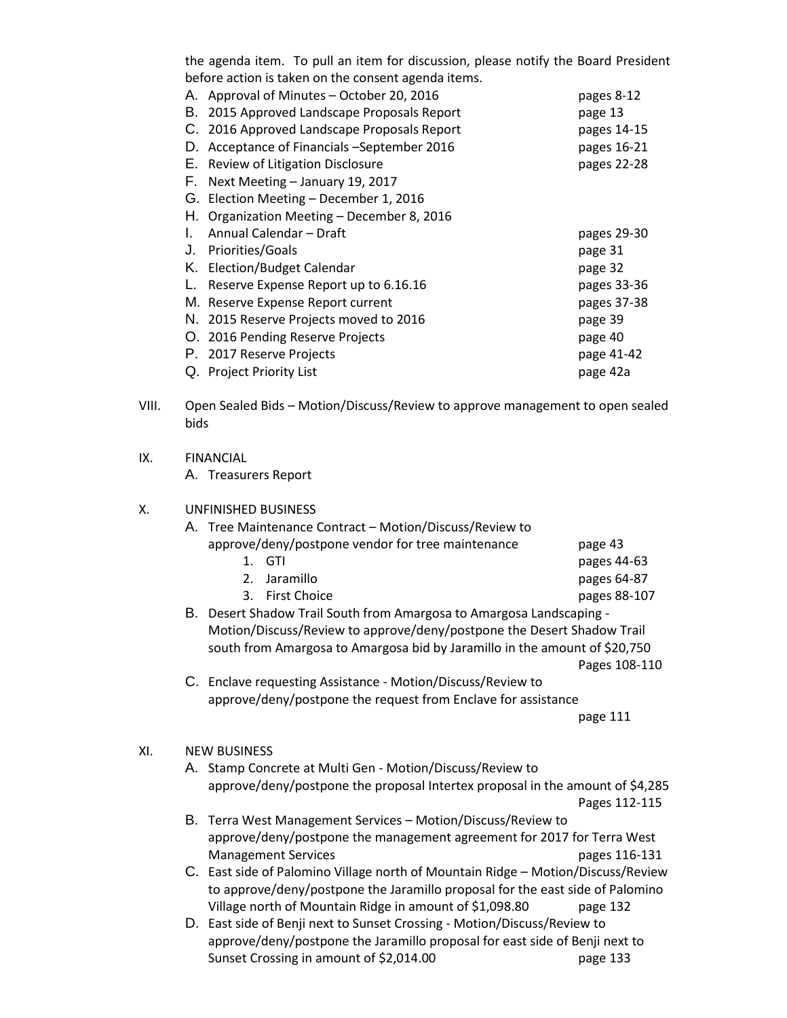the agenda item. To pull an item for discussion, please notify the Board President before action is taken on the consent agenda items.

| А. | Approval of Minutes - October 20, 2016      | pages 8-12  |
|----|---------------------------------------------|-------------|
| В. | 2015 Approved Landscape Proposals Report    | page 13     |
|    | C. 2016 Approved Landscape Proposals Report | pages 14-15 |
| D. | Acceptance of Financials -September 2016    | pages 16-21 |
| Е. | Review of Litigation Disclosure             | pages 22-28 |
| F. | Next Meeting - January 19, 2017             |             |
|    | G. Election Meeting - December 1, 2016      |             |
|    | H. Organization Meeting - December 8, 2016  |             |
| L. | Annual Calendar - Draft                     | pages 29-30 |
|    | J. Priorities/Goals                         | page 31     |
|    | K. Election/Budget Calendar                 | page 32     |
| L. | Reserve Expense Report up to 6.16.16        | pages 33-36 |
|    | M. Reserve Expense Report current           | pages 37-38 |
|    | N. 2015 Reserve Projects moved to 2016      | page 39     |
|    | O. 2016 Pending Reserve Projects            | page 40     |
|    | P. 2017 Reserve Projects                    | page 41-42  |
|    | Q. Project Priority List                    | page 42a    |

- VIII. Open Sealed Bids Motion/Discuss/Review to approve management to open sealed bids
- IX. FINANCIAL

A. Treasurers Report

### X. UNFINISHED BUSINESS

| A. Tree Maintenance Contract - Motion/Discuss/Review to                |              |
|------------------------------------------------------------------------|--------------|
| approve/deny/postpone vendor for tree maintenance                      | page 43      |
| 1. GTI                                                                 | pages 44-63  |
| 2. Jaramillo                                                           | pages 64-87  |
| 3. First Choice                                                        | pages 88-107 |
| Descriptionales : : Tool Carolin from American to American Londonomian |              |

- B. Desert Shadow Trail South from Amargosa to Amargosa Landscaping Motion/Discuss/Review to approve/deny/postpone the Desert Shadow Trail south from Amargosa to Amargosa bid by Jaramillo in the amount of \$20,750 Pages 108-110
- C. Enclave requesting Assistance Motion/Discuss/Review to approve/deny/postpone the request from Enclave for assistance

page 111

### XI. NEW BUSINESS

- A. Stamp Concrete at Multi Gen Motion/Discuss/Review to approve/deny/postpone the proposal Intertex proposal in the amount of \$4,285 Pages 112-115
- B. Terra West Management Services Motion/Discuss/Review to approve/deny/postpone the management agreement for 2017 for Terra West Management Services and the control of the pages 116-131
- C. East side of Palomino Village north of Mountain Ridge Motion/Discuss/Review to approve/deny/postpone the Jaramillo proposal for the east side of Palomino Village north of Mountain Ridge in amount of \$1,098.80 page 132
- D. East side of Benji next to Sunset Crossing Motion/Discuss/Review to approve/deny/postpone the Jaramillo proposal for east side of Benji next to Sunset Crossing in amount of \$2,014.00 page 133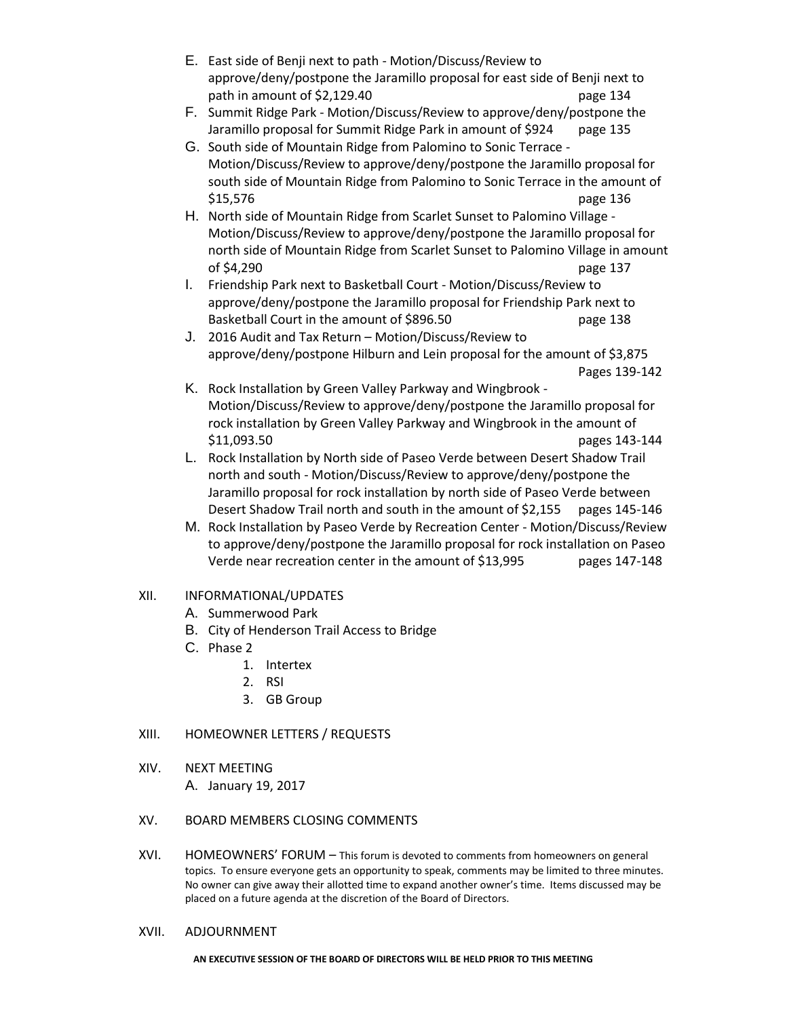- E. East side of Benji next to path Motion/Discuss/Review to approve/deny/postpone the Jaramillo proposal for east side of Benji next to path in amount of \$2,129.40 page 134
- F. Summit Ridge Park Motion/Discuss/Review to approve/deny/postpone the Jaramillo proposal for Summit Ridge Park in amount of \$924 page 135
- G. South side of Mountain Ridge from Palomino to Sonic Terrace Motion/Discuss/Review to approve/deny/postpone the Jaramillo proposal for south side of Mountain Ridge from Palomino to Sonic Terrace in the amount of \$15,576 page 136
- H. North side of Mountain Ridge from Scarlet Sunset to Palomino Village Motion/Discuss/Review to approve/deny/postpone the Jaramillo proposal for north side of Mountain Ridge from Scarlet Sunset to Palomino Village in amount of \$4,290 page 137
- I. Friendship Park next to Basketball Court Motion/Discuss/Review to approve/deny/postpone the Jaramillo proposal for Friendship Park next to Basketball Court in the amount of \$896.50 page 138
- J. 2016 Audit and Tax Return Motion/Discuss/Review to approve/deny/postpone Hilburn and Lein proposal for the amount of \$3,875 Pages 139-142
- K. Rock Installation by Green Valley Parkway and Wingbrook Motion/Discuss/Review to approve/deny/postpone the Jaramillo proposal for rock installation by Green Valley Parkway and Wingbrook in the amount of \$11,093.50 pages 143-144
- L. Rock Installation by North side of Paseo Verde between Desert Shadow Trail north and south - Motion/Discuss/Review to approve/deny/postpone the Jaramillo proposal for rock installation by north side of Paseo Verde between Desert Shadow Trail north and south in the amount of \$2,155 pages 145-146
- M. Rock Installation by Paseo Verde by Recreation Center Motion/Discuss/Review to approve/deny/postpone the Jaramillo proposal for rock installation on Paseo Verde near recreation center in the amount of \$13,995 pages 147-148

# XII. INFORMATIONAL/UPDATES

- A. Summerwood Park
- B. City of Henderson Trail Access to Bridge
- C. Phase 2
	- 1. Intertex
	- 2. RSI
	- 3. GB Group

# XIII. HOMEOWNER LETTERS / REQUESTS

XIV. NEXT MEETING

A. January 19, 2017

# XV. BOARD MEMBERS CLOSING COMMENTS

XVI. HOMEOWNERS' FORUM – This forum is devoted to comments from homeowners on general topics. To ensure everyone gets an opportunity to speak, comments may be limited to three minutes. No owner can give away their allotted time to expand another owner's time. Items discussed may be placed on a future agenda at the discretion of the Board of Directors.

### XVII. ADJOURNMENT

**AN EXECUTIVE SESSION OF THE BOARD OF DIRECTORS WILL BE HELD PRIOR TO THIS MEETING**